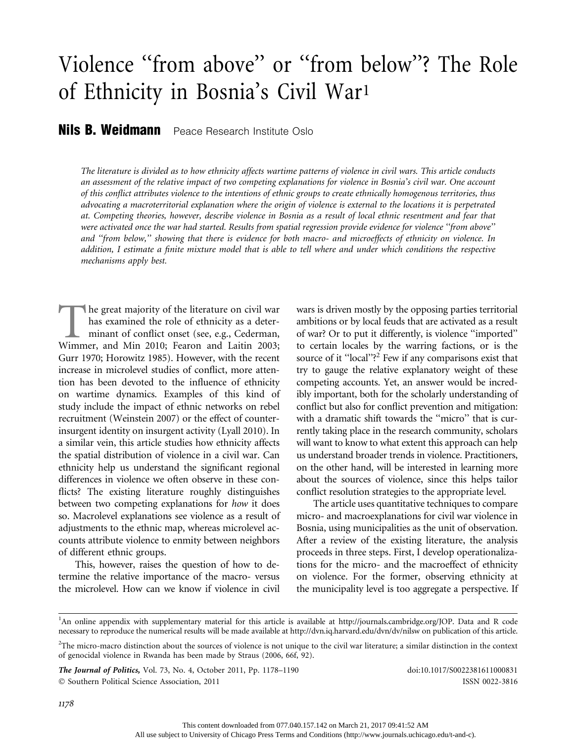# Violence ''from above'' or ''from below''? The Role of Ethnicity in Bosnia's Civil War1

Nils B. Weidmann Peace Research Institute Oslo

The literature is divided as to how ethnicity affects wartime patterns of violence in civil wars. This article conducts an assessment of the relative impact of two competing explanations for violence in Bosnia's civil war. One account of this conflict attributes violence to the intentions of ethnic groups to create ethnically homogenous territories, thus advocating a macroterritorial explanation where the origin of violence is external to the locations it is perpetrated at. Competing theories, however, describe violence in Bosnia as a result of local ethnic resentment and fear that were activated once the war had started. Results from spatial regression provide evidence for violence "from above" and ''from below,'' showing that there is evidence for both macro- and microeffects of ethnicity on violence. In addition, I estimate a finite mixture model that is able to tell where and under which conditions the respective mechanisms apply best.

The great majority of the literature on civil war has examined the role of ethnicity as a determinant of conflict onset (see, e.g., Cederman, Wimmer, and Min 2010; Fearon and Laitin 2003; has examined the role of ethnicity as a determinant of conflict onset (see, e.g., Cederman, Gurr 1970; Horowitz 1985). However, with the recent increase in microlevel studies of conflict, more attention has been devoted to the influence of ethnicity on wartime dynamics. Examples of this kind of study include the impact of ethnic networks on rebel recruitment (Weinstein 2007) or the effect of counterinsurgent identity on insurgent activity (Lyall 2010). In a similar vein, this article studies how ethnicity affects the spatial distribution of violence in a civil war. Can ethnicity help us understand the significant regional differences in violence we often observe in these conflicts? The existing literature roughly distinguishes between two competing explanations for how it does so. Macrolevel explanations see violence as a result of adjustments to the ethnic map, whereas microlevel accounts attribute violence to enmity between neighbors of different ethnic groups.

This, however, raises the question of how to determine the relative importance of the macro- versus the microlevel. How can we know if violence in civil wars is driven mostly by the opposing parties territorial ambitions or by local feuds that are activated as a result of war? Or to put it differently, is violence ''imported'' to certain locales by the warring factions, or is the source of it "local"?<sup>2</sup> Few if any comparisons exist that try to gauge the relative explanatory weight of these competing accounts. Yet, an answer would be incredibly important, both for the scholarly understanding of conflict but also for conflict prevention and mitigation: with a dramatic shift towards the "micro" that is currently taking place in the research community, scholars will want to know to what extent this approach can help us understand broader trends in violence. Practitioners, on the other hand, will be interested in learning more about the sources of violence, since this helps tailor conflict resolution strategies to the appropriate level.

The article uses quantitative techniques to compare micro- and macroexplanations for civil war violence in Bosnia, using municipalities as the unit of observation. After a review of the existing literature, the analysis proceeds in three steps. First, I develop operationalizations for the micro- and the macroeffect of ethnicity on violence. For the former, observing ethnicity at the municipality level is too aggregate a perspective. If

 $2^2$ The micro-macro distinction about the sources of violence is not unique to the civil war literature; a similar distinction in the context of genocidal violence in Rwanda has been made by Straus (2006, 66f, 92).

The Journal of Politics, Vol. 73, No. 4, October 2011, Pp. 1178–1190 doi:10.1017/S0022381611000831 C Southern Political Science Association, 2011 **ISSN 0022-3816** 

<sup>&</sup>lt;sup>1</sup>An online appendix with supplementary material for this article is available at http://journals.cambridge.org/JOP. Data and R code necessary to reproduce the numerical results will be made available at http://dvn.iq.harvard.edu/dvn/dv/nilsw on publication of this article.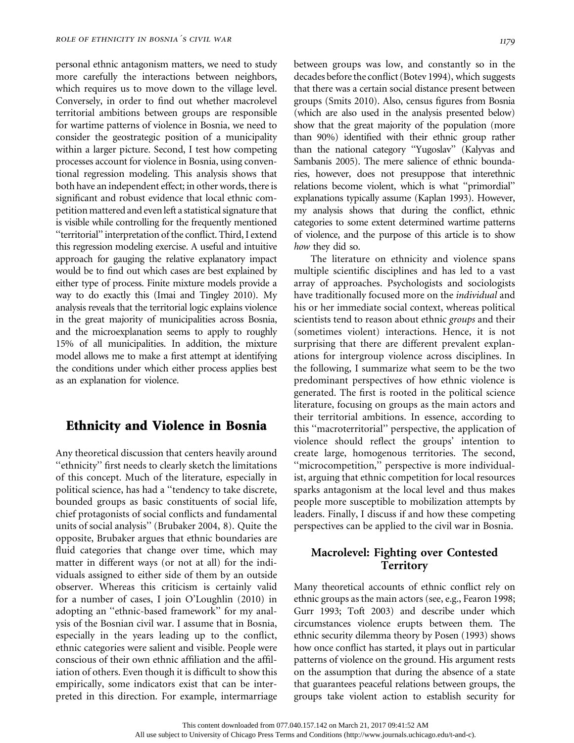personal ethnic antagonism matters, we need to study more carefully the interactions between neighbors, which requires us to move down to the village level. Conversely, in order to find out whether macrolevel territorial ambitions between groups are responsible for wartime patterns of violence in Bosnia, we need to consider the geostrategic position of a municipality within a larger picture. Second, I test how competing processes account for violence in Bosnia, using conventional regression modeling. This analysis shows that both have an independent effect; in other words, there is significant and robust evidence that local ethnic competition mattered and even left a statistical signature that is visible while controlling for the frequently mentioned ''territorial'' interpretation of the conflict. Third, I extend this regression modeling exercise. A useful and intuitive approach for gauging the relative explanatory impact would be to find out which cases are best explained by either type of process. Finite mixture models provide a way to do exactly this (Imai and Tingley 2010). My analysis reveals that the territorial logic explains violence in the great majority of municipalities across Bosnia, and the microexplanation seems to apply to roughly 15% of all municipalities. In addition, the mixture model allows me to make a first attempt at identifying the conditions under which either process applies best as an explanation for violence.

# Ethnicity and Violence in Bosnia

Any theoretical discussion that centers heavily around ''ethnicity'' first needs to clearly sketch the limitations of this concept. Much of the literature, especially in political science, has had a ''tendency to take discrete, bounded groups as basic constituents of social life, chief protagonists of social conflicts and fundamental units of social analysis'' (Brubaker 2004, 8). Quite the opposite, Brubaker argues that ethnic boundaries are fluid categories that change over time, which may matter in different ways (or not at all) for the individuals assigned to either side of them by an outside observer. Whereas this criticism is certainly valid for a number of cases, I join O'Loughlin (2010) in adopting an ''ethnic-based framework'' for my analysis of the Bosnian civil war. I assume that in Bosnia, especially in the years leading up to the conflict, ethnic categories were salient and visible. People were conscious of their own ethnic affiliation and the affiliation of others. Even though it is difficult to show this empirically, some indicators exist that can be interpreted in this direction. For example, intermarriage

between groups was low, and constantly so in the decades before the conflict (Botev 1994), which suggests that there was a certain social distance present between groups (Smits 2010). Also, census figures from Bosnia (which are also used in the analysis presented below) show that the great majority of the population (more than 90%) identified with their ethnic group rather than the national category ''Yugoslav'' (Kalyvas and Sambanis 2005). The mere salience of ethnic boundaries, however, does not presuppose that interethnic relations become violent, which is what ''primordial'' explanations typically assume (Kaplan 1993). However, my analysis shows that during the conflict, ethnic categories to some extent determined wartime patterns of violence, and the purpose of this article is to show how they did so.

The literature on ethnicity and violence spans multiple scientific disciplines and has led to a vast array of approaches. Psychologists and sociologists have traditionally focused more on the *individual* and his or her immediate social context, whereas political scientists tend to reason about ethnic groups and their (sometimes violent) interactions. Hence, it is not surprising that there are different prevalent explanations for intergroup violence across disciplines. In the following, I summarize what seem to be the two predominant perspectives of how ethnic violence is generated. The first is rooted in the political science literature, focusing on groups as the main actors and their territorial ambitions. In essence, according to this ''macroterritorial'' perspective, the application of violence should reflect the groups' intention to create large, homogenous territories. The second, "microcompetition," perspective is more individualist, arguing that ethnic competition for local resources sparks antagonism at the local level and thus makes people more susceptible to mobilization attempts by leaders. Finally, I discuss if and how these competing perspectives can be applied to the civil war in Bosnia.

## Macrolevel: Fighting over Contested **Territory**

Many theoretical accounts of ethnic conflict rely on ethnic groups as the main actors (see, e.g., Fearon 1998; Gurr 1993; Toft 2003) and describe under which circumstances violence erupts between them. The ethnic security dilemma theory by Posen (1993) shows how once conflict has started, it plays out in particular patterns of violence on the ground. His argument rests on the assumption that during the absence of a state that guarantees peaceful relations between groups, the groups take violent action to establish security for

This content downloaded from 077.040.157.142 on March 21, 2017 09:41:52 AM All use subject to University of Chicago Press Terms and Conditions (http://www.journals.uchicago.edu/t-and-c).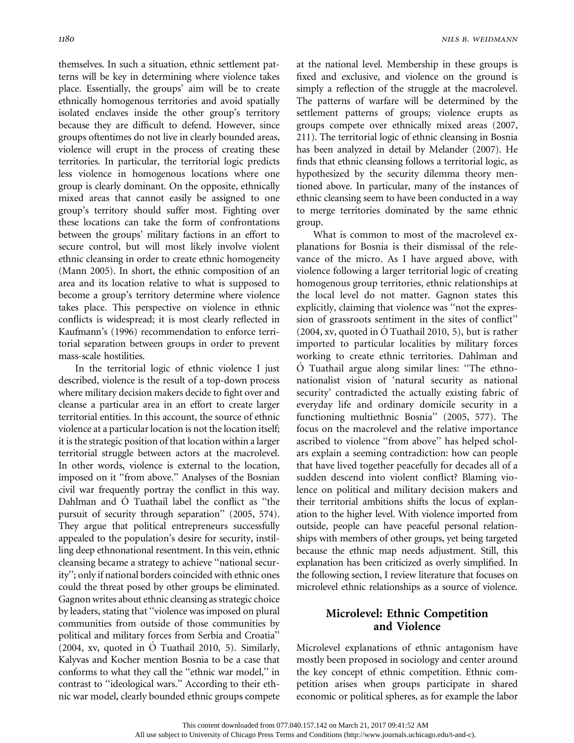themselves. In such a situation, ethnic settlement patterns will be key in determining where violence takes place. Essentially, the groups' aim will be to create ethnically homogenous territories and avoid spatially isolated enclaves inside the other group's territory because they are difficult to defend. However, since groups oftentimes do not live in clearly bounded areas, violence will erupt in the process of creating these territories. In particular, the territorial logic predicts less violence in homogenous locations where one group is clearly dominant. On the opposite, ethnically mixed areas that cannot easily be assigned to one group's territory should suffer most. Fighting over these locations can take the form of confrontations between the groups' military factions in an effort to secure control, but will most likely involve violent ethnic cleansing in order to create ethnic homogeneity (Mann 2005). In short, the ethnic composition of an area and its location relative to what is supposed to become a group's territory determine where violence takes place. This perspective on violence in ethnic conflicts is widespread; it is most clearly reflected in Kaufmann's (1996) recommendation to enforce territorial separation between groups in order to prevent mass-scale hostilities.

In the territorial logic of ethnic violence I just described, violence is the result of a top-down process where military decision makers decide to fight over and cleanse a particular area in an effort to create larger territorial entities. In this account, the source of ethnic violence at a particular location is not the location itself; it is the strategic position of that location within a larger territorial struggle between actors at the macrolevel. In other words, violence is external to the location, imposed on it ''from above.'' Analyses of the Bosnian civil war frequently portray the conflict in this way. Dahlman and  $\acute{O}$  Tuathail label the conflict as "the pursuit of security through separation'' (2005, 574). They argue that political entrepreneurs successfully appealed to the population's desire for security, instilling deep ethnonational resentment. In this vein, ethnic cleansing became a strategy to achieve ''national security''; only if national borders coincided with ethnic ones could the threat posed by other groups be eliminated. Gagnon writes about ethnic cleansing as strategic choice by leaders, stating that ''violence was imposed on plural communities from outside of those communities by political and military forces from Serbia and Croatia''  $(2004, xv, quoted in  $\acute{O}$  Tuathail 2010, 5). Similarly,$ Kalyvas and Kocher mention Bosnia to be a case that conforms to what they call the ''ethnic war model,'' in contrast to ''ideological wars.'' According to their ethnic war model, clearly bounded ethnic groups compete at the national level. Membership in these groups is fixed and exclusive, and violence on the ground is simply a reflection of the struggle at the macrolevel. The patterns of warfare will be determined by the settlement patterns of groups; violence erupts as groups compete over ethnically mixed areas (2007, 211). The territorial logic of ethnic cleansing in Bosnia has been analyzed in detail by Melander (2007). He finds that ethnic cleansing follows a territorial logic, as hypothesized by the security dilemma theory mentioned above. In particular, many of the instances of ethnic cleansing seem to have been conducted in a way to merge territories dominated by the same ethnic group.

What is common to most of the macrolevel explanations for Bosnia is their dismissal of the relevance of the micro. As I have argued above, with violence following a larger territorial logic of creating homogenous group territories, ethnic relationships at the local level do not matter. Gagnon states this explicitly, claiming that violence was ''not the expression of grassroots sentiment in the sites of conflict''  $(2004, xv, quoted in O T, T, T$  and  $2010, 5$ , but is rather imported to particular localities by military forces working to create ethnic territories. Dahlman and O´ Tuathail argue along similar lines: ''The ethnonationalist vision of 'natural security as national security' contradicted the actually existing fabric of everyday life and ordinary domicile security in a functioning multiethnic Bosnia'' (2005, 577). The focus on the macrolevel and the relative importance ascribed to violence ''from above'' has helped scholars explain a seeming contradiction: how can people that have lived together peacefully for decades all of a sudden descend into violent conflict? Blaming violence on political and military decision makers and their territorial ambitions shifts the locus of explanation to the higher level. With violence imported from outside, people can have peaceful personal relationships with members of other groups, yet being targeted because the ethnic map needs adjustment. Still, this explanation has been criticized as overly simplified. In the following section, I review literature that focuses on microlevel ethnic relationships as a source of violence.

## Microlevel: Ethnic Competition and Violence

Microlevel explanations of ethnic antagonism have mostly been proposed in sociology and center around the key concept of ethnic competition. Ethnic competition arises when groups participate in shared economic or political spheres, as for example the labor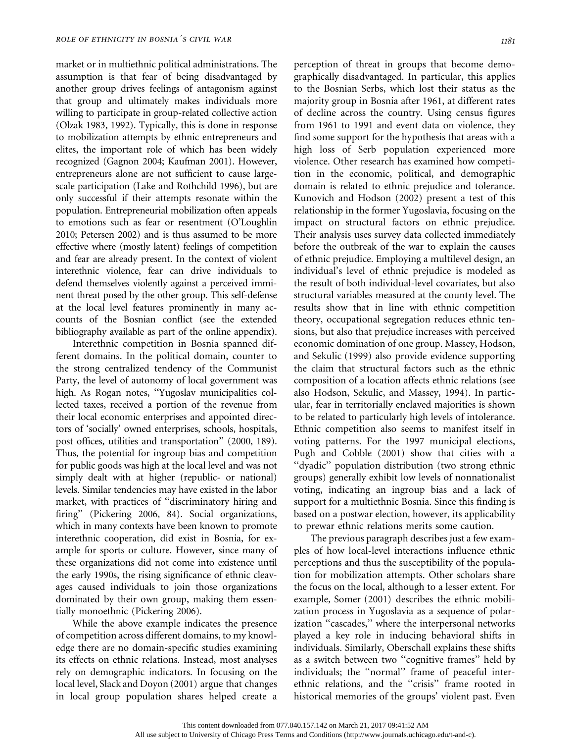market or in multiethnic political administrations. The assumption is that fear of being disadvantaged by another group drives feelings of antagonism against that group and ultimately makes individuals more willing to participate in group-related collective action (Olzak 1983, 1992). Typically, this is done in response to mobilization attempts by ethnic entrepreneurs and elites, the important role of which has been widely recognized (Gagnon 2004; Kaufman 2001). However, entrepreneurs alone are not sufficient to cause largescale participation (Lake and Rothchild 1996), but are only successful if their attempts resonate within the population. Entrepreneurial mobilization often appeals to emotions such as fear or resentment (O'Loughlin 2010; Petersen 2002) and is thus assumed to be more effective where (mostly latent) feelings of competition and fear are already present. In the context of violent interethnic violence, fear can drive individuals to defend themselves violently against a perceived imminent threat posed by the other group. This self-defense at the local level features prominently in many accounts of the Bosnian conflict (see the extended bibliography available as part of the online appendix).

Interethnic competition in Bosnia spanned different domains. In the political domain, counter to the strong centralized tendency of the Communist Party, the level of autonomy of local government was high. As Rogan notes, ''Yugoslav municipalities collected taxes, received a portion of the revenue from their local economic enterprises and appointed directors of 'socially' owned enterprises, schools, hospitals, post offices, utilities and transportation'' (2000, 189). Thus, the potential for ingroup bias and competition for public goods was high at the local level and was not simply dealt with at higher (republic- or national) levels. Similar tendencies may have existed in the labor market, with practices of ''discriminatory hiring and firing" (Pickering 2006, 84). Social organizations, which in many contexts have been known to promote interethnic cooperation, did exist in Bosnia, for example for sports or culture. However, since many of these organizations did not come into existence until the early 1990s, the rising significance of ethnic cleavages caused individuals to join those organizations dominated by their own group, making them essentially monoethnic (Pickering 2006).

While the above example indicates the presence of competition across different domains, to my knowledge there are no domain-specific studies examining its effects on ethnic relations. Instead, most analyses rely on demographic indicators. In focusing on the local level, Slack and Doyon (2001) argue that changes in local group population shares helped create a

perception of threat in groups that become demographically disadvantaged. In particular, this applies to the Bosnian Serbs, which lost their status as the majority group in Bosnia after 1961, at different rates of decline across the country. Using census figures from 1961 to 1991 and event data on violence, they find some support for the hypothesis that areas with a high loss of Serb population experienced more violence. Other research has examined how competition in the economic, political, and demographic domain is related to ethnic prejudice and tolerance. Kunovich and Hodson (2002) present a test of this relationship in the former Yugoslavia, focusing on the impact on structural factors on ethnic prejudice. Their analysis uses survey data collected immediately before the outbreak of the war to explain the causes of ethnic prejudice. Employing a multilevel design, an individual's level of ethnic prejudice is modeled as the result of both individual-level covariates, but also structural variables measured at the county level. The results show that in line with ethnic competition theory, occupational segregation reduces ethnic tensions, but also that prejudice increases with perceived economic domination of one group. Massey, Hodson, and Sekulic (1999) also provide evidence supporting the claim that structural factors such as the ethnic composition of a location affects ethnic relations (see also Hodson, Sekulic, and Massey, 1994). In particular, fear in territorially enclaved majorities is shown to be related to particularly high levels of intolerance. Ethnic competition also seems to manifest itself in voting patterns. For the 1997 municipal elections, Pugh and Cobble (2001) show that cities with a "dyadic" population distribution (two strong ethnic groups) generally exhibit low levels of nonnationalist voting, indicating an ingroup bias and a lack of support for a multiethnic Bosnia. Since this finding is based on a postwar election, however, its applicability to prewar ethnic relations merits some caution.

The previous paragraph describes just a few examples of how local-level interactions influence ethnic perceptions and thus the susceptibility of the population for mobilization attempts. Other scholars share the focus on the local, although to a lesser extent. For example, Somer (2001) describes the ethnic mobilization process in Yugoslavia as a sequence of polarization ''cascades,'' where the interpersonal networks played a key role in inducing behavioral shifts in individuals. Similarly, Oberschall explains these shifts as a switch between two ''cognitive frames'' held by individuals; the ''normal'' frame of peaceful interethnic relations, and the ''crisis'' frame rooted in historical memories of the groups' violent past. Even

This content downloaded from 077.040.157.142 on March 21, 2017 09:41:52 AM All use subject to University of Chicago Press Terms and Conditions (http://www.journals.uchicago.edu/t-and-c).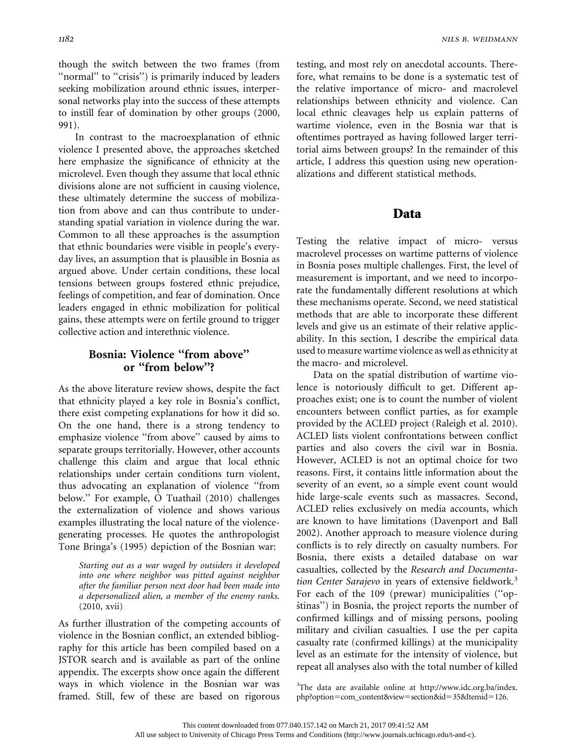though the switch between the two frames (from "normal" to "crisis") is primarily induced by leaders seeking mobilization around ethnic issues, interpersonal networks play into the success of these attempts to instill fear of domination by other groups (2000, 991).

In contrast to the macroexplanation of ethnic violence I presented above, the approaches sketched here emphasize the significance of ethnicity at the microlevel. Even though they assume that local ethnic divisions alone are not sufficient in causing violence, these ultimately determine the success of mobilization from above and can thus contribute to understanding spatial variation in violence during the war. Common to all these approaches is the assumption that ethnic boundaries were visible in people's everyday lives, an assumption that is plausible in Bosnia as argued above. Under certain conditions, these local tensions between groups fostered ethnic prejudice, feelings of competition, and fear of domination. Once leaders engaged in ethnic mobilization for political gains, these attempts were on fertile ground to trigger collective action and interethnic violence.

## Bosnia: Violence ''from above'' or "from below"?

As the above literature review shows, despite the fact that ethnicity played a key role in Bosnia's conflict, there exist competing explanations for how it did so. On the one hand, there is a strong tendency to emphasize violence ''from above'' caused by aims to separate groups territorially. However, other accounts challenge this claim and argue that local ethnic relationships under certain conditions turn violent, thus advocating an explanation of violence ''from below." For example, O Tuathail (2010) challenges the externalization of violence and shows various examples illustrating the local nature of the violencegenerating processes. He quotes the anthropologist Tone Bringa's (1995) depiction of the Bosnian war:

Starting out as a war waged by outsiders it developed into one where neighbor was pitted against neighbor after the familiar person next door had been made into a depersonalized alien, a member of the enemy ranks. (2010, xvii)

As further illustration of the competing accounts of violence in the Bosnian conflict, an extended bibliography for this article has been compiled based on a JSTOR search and is available as part of the online appendix. The excerpts show once again the different ways in which violence in the Bosnian war was framed. Still, few of these are based on rigorous

testing, and most rely on anecdotal accounts. Therefore, what remains to be done is a systematic test of the relative importance of micro- and macrolevel relationships between ethnicity and violence. Can local ethnic cleavages help us explain patterns of wartime violence, even in the Bosnia war that is oftentimes portrayed as having followed larger territorial aims between groups? In the remainder of this article, I address this question using new operationalizations and different statistical methods.

## Data

Testing the relative impact of micro- versus macrolevel processes on wartime patterns of violence in Bosnia poses multiple challenges. First, the level of measurement is important, and we need to incorporate the fundamentally different resolutions at which these mechanisms operate. Second, we need statistical methods that are able to incorporate these different levels and give us an estimate of their relative applicability. In this section, I describe the empirical data used to measure wartime violence as well as ethnicity at the macro- and microlevel.

Data on the spatial distribution of wartime violence is notoriously difficult to get. Different approaches exist; one is to count the number of violent encounters between conflict parties, as for example provided by the ACLED project (Raleigh et al. 2010). ACLED lists violent confrontations between conflict parties and also covers the civil war in Bosnia. However, ACLED is not an optimal choice for two reasons. First, it contains little information about the severity of an event, so a simple event count would hide large-scale events such as massacres. Second, ACLED relies exclusively on media accounts, which are known to have limitations (Davenport and Ball 2002). Another approach to measure violence during conflicts is to rely directly on casualty numbers. For Bosnia, there exists a detailed database on war casualties, collected by the Research and Documentation Center Sarajevo in years of extensive fieldwork.<sup>3</sup> For each of the 109 (prewar) municipalities (''opštinas") in Bosnia, the project reports the number of confirmed killings and of missing persons, pooling military and civilian casualties. I use the per capita casualty rate (confirmed killings) at the municipality level as an estimate for the intensity of violence, but repeat all analyses also with the total number of killed

<sup>3</sup>The data are available online at http://www.idc.org.ba/index. php?option=com\_content&view=section&id=35&Itemid=126.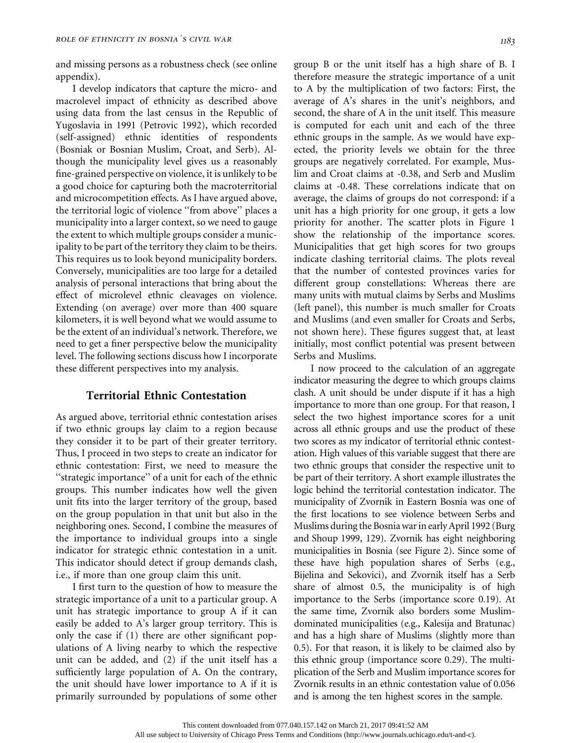and missing persons as a robustness check (see online appendix).

I develop indicators that capture the micro- and macrolevel impact of ethnicity as described above using data from the last census in the Republic of Yugoslavia in 1991 (Petrovic 1992), which recorded (self-assigned) ethnic identities of respondents (Bosniak or Bosnian Muslim, Croat, and Serb). Although the municipality level gives us a reasonably fine-grained perspective on violence, it is unlikely to be a good choice for capturing both the macroterritorial and microcompetition effects. As I have argued above, the territorial logic of violence ''from above'' places a municipality into a larger context, so we need to gauge the extent to which multiple groups consider a municipality to be part of the territory they claim to be theirs. This requires us to look beyond municipality borders. Conversely, municipalities are too large for a detailed analysis of personal interactions that bring about the effect of microlevel ethnic cleavages on violence. Extending (on average) over more than 400 square kilometers, it is well beyond what we would assume to be the extent of an individual's network. Therefore, we need to get a finer perspective below the municipality level. The following sections discuss how I incorporate these different perspectives into my analysis.

#### Territorial Ethnic Contestation

As argued above, territorial ethnic contestation arises if two ethnic groups lay claim to a region because they consider it to be part of their greater territory. Thus, I proceed in two steps to create an indicator for ethnic contestation: First, we need to measure the ''strategic importance'' of a unit for each of the ethnic groups. This number indicates how well the given unit fits into the larger territory of the group, based on the group population in that unit but also in the neighboring ones. Second, I combine the measures of the importance to individual groups into a single indicator for strategic ethnic contestation in a unit. This indicator should detect if group demands clash, i.e., if more than one group claim this unit.

I first turn to the question of how to measure the strategic importance of a unit to a particular group. A unit has strategic importance to group A if it can easily be added to A's larger group territory. This is only the case if (1) there are other significant populations of A living nearby to which the respective unit can be added, and (2) if the unit itself has a sufficiently large population of A. On the contrary, the unit should have lower importance to A if it is primarily surrounded by populations of some other

group B or the unit itself has a high share of B. I therefore measure the strategic importance of a unit to A by the multiplication of two factors: First, the average of A's shares in the unit's neighbors, and second, the share of A in the unit itself. This measure is computed for each unit and each of the three ethnic groups in the sample. As we would have expected, the priority levels we obtain for the three groups are negatively correlated. For example, Muslim and Croat claims at -0.38, and Serb and Muslim claims at -0.48. These correlations indicate that on average, the claims of groups do not correspond: if a unit has a high priority for one group, it gets a low priority for another. The scatter plots in Figure 1 show the relationship of the importance scores. Municipalities that get high scores for two groups indicate clashing territorial claims. The plots reveal that the number of contested provinces varies for different group constellations: Whereas there are many units with mutual claims by Serbs and Muslims (left panel), this number is much smaller for Croats and Muslims (and even smaller for Croats and Serbs, not shown here). These figures suggest that, at least initially, most conflict potential was present between Serbs and Muslims.

I now proceed to the calculation of an aggregate indicator measuring the degree to which groups claims clash. A unit should be under dispute if it has a high importance to more than one group. For that reason, I select the two highest importance scores for a unit across all ethnic groups and use the product of these two scores as my indicator of territorial ethnic contestation. High values of this variable suggest that there are two ethnic groups that consider the respective unit to be part of their territory. A short example illustrates the logic behind the territorial contestation indicator. The municipality of Zvornik in Eastern Bosnia was one of the first locations to see violence between Serbs and Muslims during the Bosnia war in early April 1992 (Burg and Shoup 1999, 129). Zvornik has eight neighboring municipalities in Bosnia (see Figure 2). Since some of these have high population shares of Serbs (e.g., Bijelina and Sekovici), and Zvornik itself has a Serb share of almost 0.5, the municipality is of high importance to the Serbs (importance score 0.19). At the same time, Zvornik also borders some Muslimdominated municipalities (e.g., Kalesija and Bratunac) and has a high share of Muslims (slightly more than 0.5). For that reason, it is likely to be claimed also by this ethnic group (importance score 0.29). The multiplication of the Serb and Muslim importance scores for Zvornik results in an ethnic contestation value of 0.056 and is among the ten highest scores in the sample.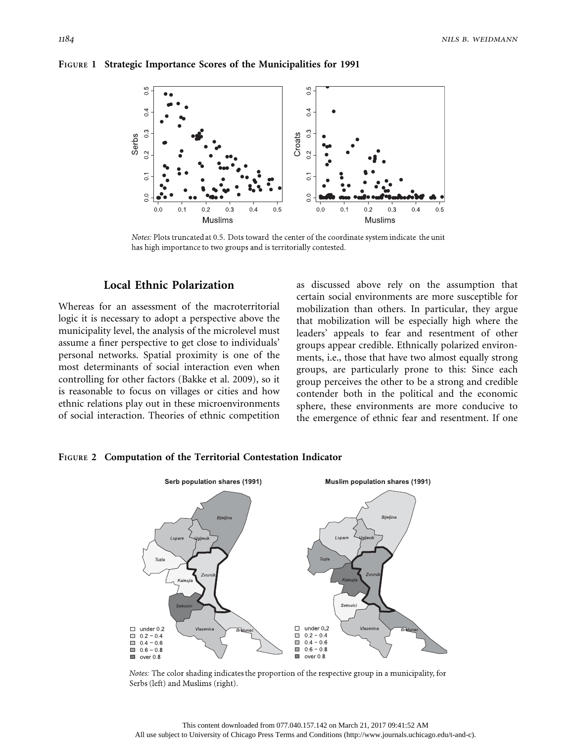

FIGURE 1 Strategic Importance Scores of the Municipalities for 1991

Notes: Plots truncated at 0.5. Dots toward the center of the coordinate system indicate the unit has high importance to two groups and is territorially contested.

#### Local Ethnic Polarization

Whereas for an assessment of the macroterritorial logic it is necessary to adopt a perspective above the municipality level, the analysis of the microlevel must assume a finer perspective to get close to individuals' personal networks. Spatial proximity is one of the most determinants of social interaction even when controlling for other factors (Bakke et al. 2009), so it is reasonable to focus on villages or cities and how ethnic relations play out in these microenvironments of social interaction. Theories of ethnic competition

as discussed above rely on the assumption that certain social environments are more susceptible for mobilization than others. In particular, they argue that mobilization will be especially high where the leaders' appeals to fear and resentment of other groups appear credible. Ethnically polarized environments, i.e., those that have two almost equally strong groups, are particularly prone to this: Since each group perceives the other to be a strong and credible contender both in the political and the economic sphere, these environments are more conducive to the emergence of ethnic fear and resentment. If one

#### FIGURE 2 Computation of the Territorial Contestation Indicator



Notes: The color shading indicates the proportion of the respective group in a municipality, for Serbs (left) and Muslims (right).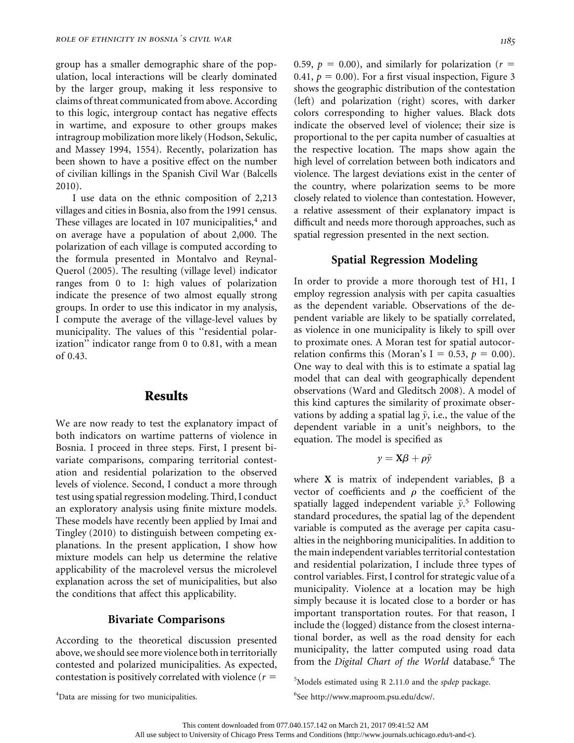group has a smaller demographic share of the population, local interactions will be clearly dominated by the larger group, making it less responsive to claims of threat communicated from above. According to this logic, intergroup contact has negative effects in wartime, and exposure to other groups makes intragroup mobilization more likely (Hodson, Sekulic, and Massey 1994, 1554). Recently, polarization has been shown to have a positive effect on the number of civilian killings in the Spanish Civil War (Balcells 2010).

I use data on the ethnic composition of 2,213 villages and cities in Bosnia, also from the 1991 census. These villages are located in  $107$  municipalities, $4$  and on average have a population of about 2,000. The polarization of each village is computed according to the formula presented in Montalvo and Reynal-Querol (2005). The resulting (village level) indicator ranges from 0 to 1: high values of polarization indicate the presence of two almost equally strong groups. In order to use this indicator in my analysis, I compute the average of the village-level values by municipality. The values of this ''residential polarization'' indicator range from 0 to 0.81, with a mean of 0.43.

### **Results**

We are now ready to test the explanatory impact of both indicators on wartime patterns of violence in Bosnia. I proceed in three steps. First, I present bivariate comparisons, comparing territorial contestation and residential polarization to the observed levels of violence. Second, I conduct a more through test using spatial regression modeling. Third, I conduct an exploratory analysis using finite mixture models. These models have recently been applied by Imai and Tingley (2010) to distinguish between competing explanations. In the present application, I show how mixture models can help us determine the relative applicability of the macrolevel versus the microlevel explanation across the set of municipalities, but also the conditions that affect this applicability.

#### Bivariate Comparisons

According to the theoretical discussion presented above, we should see more violence both in territorially contested and polarized municipalities. As expected, contestation is positively correlated with violence ( $r =$ 

0.59,  $p = 0.00$ , and similarly for polarization ( $r =$ 0.41,  $p = 0.00$ ). For a first visual inspection, Figure 3 shows the geographic distribution of the contestation (left) and polarization (right) scores, with darker colors corresponding to higher values. Black dots indicate the observed level of violence; their size is proportional to the per capita number of casualties at the respective location. The maps show again the high level of correlation between both indicators and violence. The largest deviations exist in the center of the country, where polarization seems to be more closely related to violence than contestation. However, a relative assessment of their explanatory impact is difficult and needs more thorough approaches, such as spatial regression presented in the next section.

#### Spatial Regression Modeling

In order to provide a more thorough test of H1, I employ regression analysis with per capita casualties as the dependent variable. Observations of the dependent variable are likely to be spatially correlated, as violence in one municipality is likely to spill over to proximate ones. A Moran test for spatial autocorrelation confirms this (Moran's I = 0.53,  $p = 0.00$ ). One way to deal with this is to estimate a spatial lag model that can deal with geographically dependent observations (Ward and Gleditsch 2008). A model of this kind captures the similarity of proximate observations by adding a spatial lag  $\tilde{y}$ , i.e., the value of the dependent variable in a unit's neighbors, to the equation. The model is specified as

$$
y = \mathbf{X}\boldsymbol{\beta} + \rho \tilde{y}
$$

where  $X$  is matrix of independent variables,  $\beta$  a vector of coefficients and  $\rho$  the coefficient of the spatially lagged independent variable  $\tilde{y}$ .<sup>5</sup> Following standard procedures, the spatial lag of the dependent variable is computed as the average per capita casualties in the neighboring municipalities. In addition to the main independent variables territorial contestation and residential polarization, I include three types of control variables. First, I control for strategic value of a municipality. Violence at a location may be high simply because it is located close to a border or has important transportation routes. For that reason, I include the (logged) distance from the closest international border, as well as the road density for each municipality, the latter computed using road data from the Digital Chart of the World database.<sup>6</sup> The

 $5$ Models estimated using R 2.11.0 and the *spdep* package.

6 See http://www.maproom.psu.edu/dcw/.

<sup>4</sup> Data are missing for two municipalities.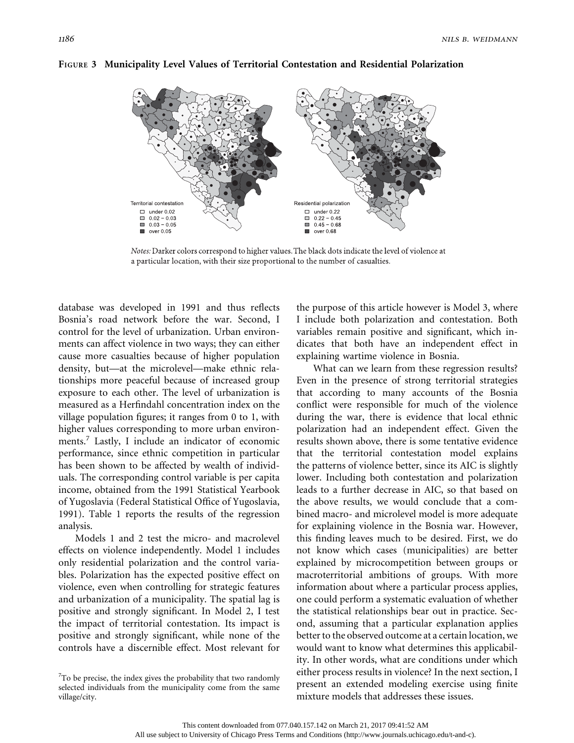

FIGURE 3 Municipality Level Values of Territorial Contestation and Residential Polarization

Notes: Darker colors correspond to higher values. The black dots indicate the level of violence at a particular location, with their size proportional to the number of casualties.

database was developed in 1991 and thus reflects Bosnia's road network before the war. Second, I control for the level of urbanization. Urban environments can affect violence in two ways; they can either cause more casualties because of higher population density, but—at the microlevel—make ethnic relationships more peaceful because of increased group exposure to each other. The level of urbanization is measured as a Herfindahl concentration index on the village population figures; it ranges from 0 to 1, with higher values corresponding to more urban environments.<sup>7</sup> Lastly, I include an indicator of economic performance, since ethnic competition in particular has been shown to be affected by wealth of individuals. The corresponding control variable is per capita income, obtained from the 1991 Statistical Yearbook of Yugoslavia (Federal Statistical Office of Yugoslavia, 1991). Table 1 reports the results of the regression analysis.

Models 1 and 2 test the micro- and macrolevel effects on violence independently. Model 1 includes only residential polarization and the control variables. Polarization has the expected positive effect on violence, even when controlling for strategic features and urbanization of a municipality. The spatial lag is positive and strongly significant. In Model 2, I test the impact of territorial contestation. Its impact is positive and strongly significant, while none of the controls have a discernible effect. Most relevant for

the purpose of this article however is Model 3, where I include both polarization and contestation. Both variables remain positive and significant, which indicates that both have an independent effect in explaining wartime violence in Bosnia.

What can we learn from these regression results? Even in the presence of strong territorial strategies that according to many accounts of the Bosnia conflict were responsible for much of the violence during the war, there is evidence that local ethnic polarization had an independent effect. Given the results shown above, there is some tentative evidence that the territorial contestation model explains the patterns of violence better, since its AIC is slightly lower. Including both contestation and polarization leads to a further decrease in AIC, so that based on the above results, we would conclude that a combined macro- and microlevel model is more adequate for explaining violence in the Bosnia war. However, this finding leaves much to be desired. First, we do not know which cases (municipalities) are better explained by microcompetition between groups or macroterritorial ambitions of groups. With more information about where a particular process applies, one could perform a systematic evaluation of whether the statistical relationships bear out in practice. Second, assuming that a particular explanation applies better to the observed outcome at a certain location, we would want to know what determines this applicability. In other words, what are conditions under which either process results in violence? In the next section, I present an extended modeling exercise using finite mixture models that addresses these issues.

<sup>&</sup>lt;sup>7</sup>To be precise, the index gives the probability that two randomly selected individuals from the municipality come from the same village/city.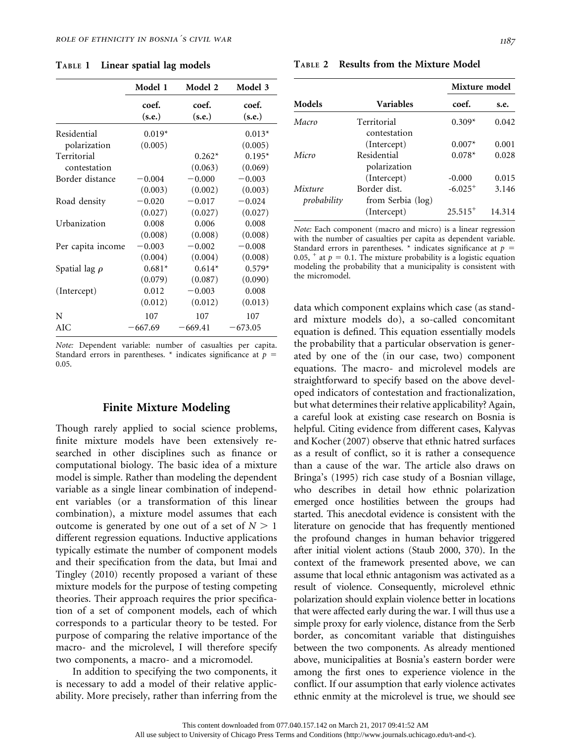|                    | Model 1   | Model 2   | Model 3   |
|--------------------|-----------|-----------|-----------|
|                    | coef.     | coef.     | coef.     |
|                    | (s.e.)    | (s.e.)    | (s.e.)    |
| Residential        | $0.019*$  |           | $0.013*$  |
| polarization       | (0.005)   |           | (0.005)   |
| Territorial        |           | $0.262*$  | $0.195*$  |
| contestation       |           | (0.063)   | (0.069)   |
| Border distance    | $-0.004$  | $-0.000$  | $-0.003$  |
|                    | (0.003)   | (0.002)   | (0.003)   |
| Road density       | $-0.020$  | $-0.017$  | $-0.024$  |
|                    | (0.027)   | (0.027)   | (0.027)   |
| Urbanization       | 0.008     | 0.006     | 0.008     |
|                    | (0.008)   | (0.008)   | (0.008)   |
| Per capita income  | $-0.003$  | $-0.002$  | $-0.008$  |
|                    | (0.004)   | (0.004)   | (0.008)   |
| Spatial lag $\rho$ | $0.681*$  | $0.614*$  | $0.579*$  |
|                    | (0.079)   | (0.087)   | (0.090)   |
| (Intercept)        | 0.012     | $-0.003$  | 0.008     |
|                    | (0.012)   | (0.012)   | (0.013)   |
| N                  | 107       | 107       | 107       |
| AIC                | $-667.69$ | $-669.41$ | $-673.05$ |

TABLE 1 Linear spatial lag models

Note: Dependent variable: number of casualties per capita. Standard errors in parentheses. \* indicates significance at  $p =$ 0.05.

#### Finite Mixture Modeling

Though rarely applied to social science problems, finite mixture models have been extensively researched in other disciplines such as finance or computational biology. The basic idea of a mixture model is simple. Rather than modeling the dependent variable as a single linear combination of independent variables (or a transformation of this linear combination), a mixture model assumes that each outcome is generated by one out of a set of  $N > 1$ different regression equations. Inductive applications typically estimate the number of component models and their specification from the data, but Imai and Tingley (2010) recently proposed a variant of these mixture models for the purpose of testing competing theories. Their approach requires the prior specification of a set of component models, each of which corresponds to a particular theory to be tested. For purpose of comparing the relative importance of the macro- and the microlevel, I will therefore specify two components, a macro- and a micromodel.

In addition to specifying the two components, it is necessary to add a model of their relative applicability. More precisely, rather than inferring from the

TABLE 2 Results from the Mixture Model

|                        |                                   | Mixture model |        |
|------------------------|-----------------------------------|---------------|--------|
| Models                 | <b>Variables</b>                  | coef.         | s.e.   |
| Macro                  | Territorial<br>contestation       | $0.309*$      | 0.042  |
|                        | (Intercept)                       | $0.007*$      | 0.001  |
| Micro                  | Residential<br>polarization       | $0.078*$      | 0.028  |
|                        | (Intercept)                       | $-0.000$      | 0.015  |
| Mixture<br>probability | Border dist.<br>from Serbia (log) | $-6.025^{+}$  | 3.146  |
|                        | (Intercept)                       | $25.515^{+}$  | 14.314 |

Note: Each component (macro and micro) is a linear regression with the number of casualties per capita as dependent variable. Standard errors in parentheses. \* indicates significance at  $p =$ 0.05,  $^+$  at  $p = 0.1$ . The mixture probability is a logistic equation modeling the probability that a municipality is consistent with the micromodel.

data which component explains which case (as standard mixture models do), a so-called concomitant equation is defined. This equation essentially models the probability that a particular observation is generated by one of the (in our case, two) component equations. The macro- and microlevel models are straightforward to specify based on the above developed indicators of contestation and fractionalization, but what determines their relative applicability? Again, a careful look at existing case research on Bosnia is helpful. Citing evidence from different cases, Kalyvas and Kocher (2007) observe that ethnic hatred surfaces as a result of conflict, so it is rather a consequence than a cause of the war. The article also draws on Bringa's (1995) rich case study of a Bosnian village, who describes in detail how ethnic polarization emerged once hostilities between the groups had started. This anecdotal evidence is consistent with the literature on genocide that has frequently mentioned the profound changes in human behavior triggered after initial violent actions (Staub 2000, 370). In the context of the framework presented above, we can assume that local ethnic antagonism was activated as a result of violence. Consequently, microlevel ethnic polarization should explain violence better in locations that were affected early during the war. I will thus use a simple proxy for early violence, distance from the Serb border, as concomitant variable that distinguishes between the two components. As already mentioned above, municipalities at Bosnia's eastern border were among the first ones to experience violence in the conflict. If our assumption that early violence activates ethnic enmity at the microlevel is true, we should see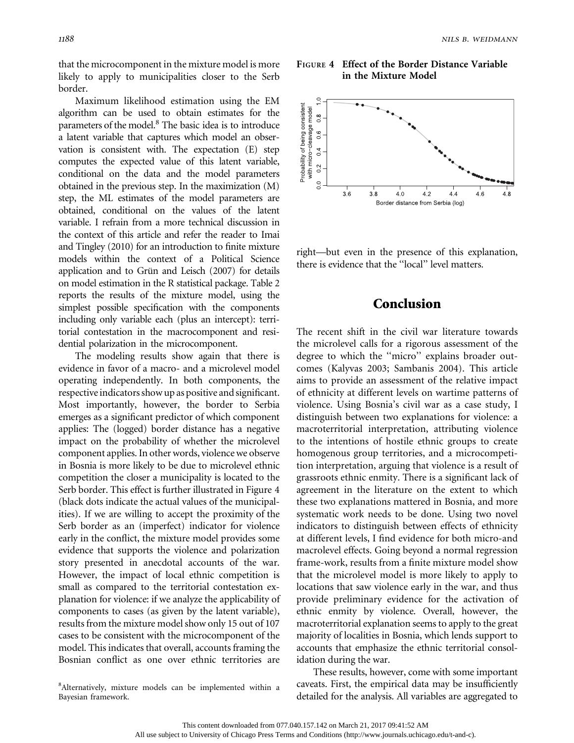that the microcomponent in the mixture model is more likely to apply to municipalities closer to the Serb border.

Maximum likelihood estimation using the EM algorithm can be used to obtain estimates for the parameters of the model.<sup>8</sup> The basic idea is to introduce a latent variable that captures which model an observation is consistent with. The expectation (E) step computes the expected value of this latent variable, conditional on the data and the model parameters obtained in the previous step. In the maximization (M) step, the ML estimates of the model parameters are obtained, conditional on the values of the latent variable. I refrain from a more technical discussion in the context of this article and refer the reader to Imai and Tingley (2010) for an introduction to finite mixture models within the context of a Political Science application and to Grün and Leisch (2007) for details on model estimation in the R statistical package. Table 2 reports the results of the mixture model, using the simplest possible specification with the components including only variable each (plus an intercept): territorial contestation in the macrocomponent and residential polarization in the microcomponent.

The modeling results show again that there is evidence in favor of a macro- and a microlevel model operating independently. In both components, the respective indicators show up as positive and significant. Most importantly, however, the border to Serbia emerges as a significant predictor of which component applies: The (logged) border distance has a negative impact on the probability of whether the microlevel component applies. In other words, violence we observe in Bosnia is more likely to be due to microlevel ethnic competition the closer a municipality is located to the Serb border. This effect is further illustrated in Figure 4 (black dots indicate the actual values of the municipalities). If we are willing to accept the proximity of the Serb border as an (imperfect) indicator for violence early in the conflict, the mixture model provides some evidence that supports the violence and polarization story presented in anecdotal accounts of the war. However, the impact of local ethnic competition is small as compared to the territorial contestation explanation for violence: if we analyze the applicability of components to cases (as given by the latent variable), results from the mixture model show only 15 out of 107 cases to be consistent with the microcomponent of the model. This indicates that overall, accounts framing the Bosnian conflict as one over ethnic territories are

#### FIGURE 4 Effect of the Border Distance Variable in the Mixture Model



right—but even in the presence of this explanation, there is evidence that the ''local'' level matters.

# Conclusion

The recent shift in the civil war literature towards the microlevel calls for a rigorous assessment of the degree to which the ''micro'' explains broader outcomes (Kalyvas 2003; Sambanis 2004). This article aims to provide an assessment of the relative impact of ethnicity at different levels on wartime patterns of violence. Using Bosnia's civil war as a case study, I distinguish between two explanations for violence: a macroterritorial interpretation, attributing violence to the intentions of hostile ethnic groups to create homogenous group territories, and a microcompetition interpretation, arguing that violence is a result of grassroots ethnic enmity. There is a significant lack of agreement in the literature on the extent to which these two explanations mattered in Bosnia, and more systematic work needs to be done. Using two novel indicators to distinguish between effects of ethnicity at different levels, I find evidence for both micro-and macrolevel effects. Going beyond a normal regression frame-work, results from a finite mixture model show that the microlevel model is more likely to apply to locations that saw violence early in the war, and thus provide preliminary evidence for the activation of ethnic enmity by violence. Overall, however, the macroterritorial explanation seems to apply to the great majority of localities in Bosnia, which lends support to accounts that emphasize the ethnic territorial consolidation during the war.

These results, however, come with some important caveats. First, the empirical data may be insufficiently detailed for the analysis. All variables are aggregated to

<sup>&</sup>lt;sup>8</sup>Alternatively, mixture models can be implemented within a Bayesian framework.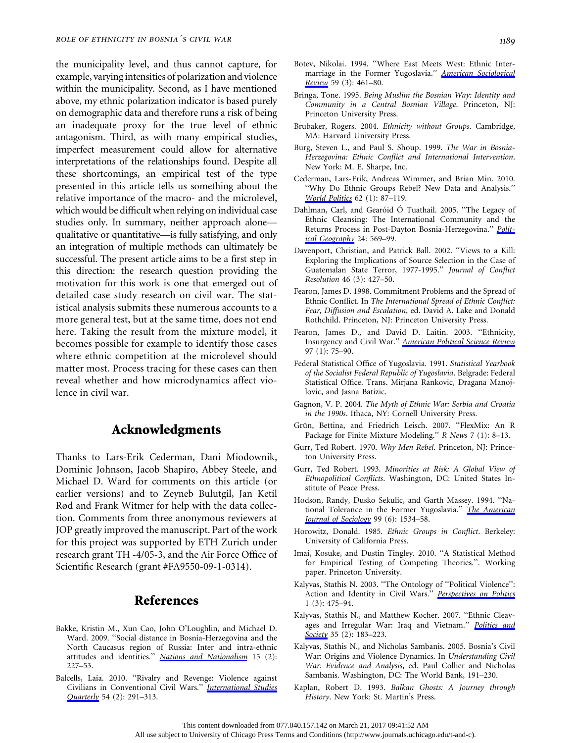the municipality level, and thus cannot capture, for example, varying intensities of polarization and violence within the municipality. Second, as I have mentioned above, my ethnic polarization indicator is based purely on demographic data and therefore runs a risk of being an inadequate proxy for the true level of ethnic antagonism. Third, as with many empirical studies, imperfect measurement could allow for alternative interpretations of the relationships found. Despite all these shortcomings, an empirical test of the type presented in this article tells us something about the relative importance of the macro- and the microlevel, which would be difficult when relying on individual case studies only. In summary, neither approach alone qualitative or quantitative—is fully satisfying, and only an integration of multiple methods can ultimately be successful. The present article aims to be a first step in this direction: the research question providing the motivation for this work is one that emerged out of detailed case study research on civil war. The statistical analysis submits these numerous accounts to a more general test, but at the same time, does not end here. Taking the result from the mixture model, it becomes possible for example to identify those cases where ethnic competition at the microlevel should matter most. Process tracing for these cases can then reveal whether and how microdynamics affect violence in civil war.

## Acknowledgments

Thanks to Lars-Erik Cederman, Dani Miodownik, Dominic Johnson, Jacob Shapiro, Abbey Steele, and Michael D. Ward for comments on this article (or earlier versions) and to Zeyneb Bulutgil, Jan Ketil Rød and Frank Witmer for help with the data collection. Comments from three anonymous reviewers at JOP greatly improved the manuscript. Part of the work for this project was supported by ETH Zurich under research grant TH -4/05-3, and the Air Force Office of Scientific Research (grant #FA9550-09-1-0314).

## References

- Bakke, Kristin M., Xun Cao, John O'Loughlin, and Michael D. Ward. 2009. ''Social distance in Bosnia-Herzegovina and the North Caucasus region of Russia: Inter and intra-ethnic attitudes and identities." [Nations and Nationalism](http://www.journals.uchicago.edu/action/showLinks?crossref=10.1111%2Fj.1469-8129.2009.00363.x) 15 (2): 227–53.
- Balcells, Laia. 2010. ''Rivalry and Revenge: Violence against Civilians in Conventional Civil Wars." [International Studies](http://www.journals.uchicago.edu/action/showLinks?crossref=10.1111%2Fj.1468-2478.2010.00588.x) [Quarterly](http://www.journals.uchicago.edu/action/showLinks?crossref=10.1111%2Fj.1468-2478.2010.00588.x) 54 (2): 291–313.
- Bringa, Tone. 1995. Being Muslim the Bosnian Way: Identity and Community in a Central Bosnian Village. Princeton, NJ: Princeton University Press.
- Brubaker, Rogers. 2004. Ethnicity without Groups. Cambridge, MA: Harvard University Press.
- Burg, Steven L., and Paul S. Shoup. 1999. The War in Bosnia-Herzegovina: Ethnic Conflict and International Intervention. New York: M. E. Sharpe, Inc.
- Cederman, Lars-Erik, Andreas Wimmer, and Brian Min. 2010. ''Why Do Ethnic Groups Rebel? New Data and Analysis.'' [World Politics](http://www.journals.uchicago.edu/action/showLinks?crossref=10.1017%2FS0043887109990219) 62 (1): 87–119.
- Dahlman, Carl, and Gearóid Ó Tuathail. 2005. "The Legacy of Ethnic Cleansing: The International Community and the Returns Process in Post-Dayton Bosnia-Herzegovina." [Polit](http://www.journals.uchicago.edu/action/showLinks?crossref=10.1016%2Fj.polgeo.2005.01.007)[ical Geography](http://www.journals.uchicago.edu/action/showLinks?crossref=10.1016%2Fj.polgeo.2005.01.007) 24: 569-99.
- Davenport, Christian, and Patrick Ball. 2002. ''Views to a Kill: Exploring the Implications of Source Selection in the Case of Guatemalan State Terror, 1977-1995.'' Journal of Conflict Resolution 46 (3): 427–50.
- Fearon, James D. 1998. Commitment Problems and the Spread of Ethnic Conflict. In The International Spread of Ethnic Conflict: Fear, Diffusion and Escalation, ed. David A. Lake and Donald Rothchild. Princeton, NJ: Princeton University Press.
- Fearon, James D., and David D. Laitin. 2003. ''Ethnicity, Insurgency and Civil War." [American Political Science Review](http://www.journals.uchicago.edu/action/showLinks?crossref=10.1017%2FS0003055403000534) 97 (1): 75–90.
- Federal Statistical Office of Yugoslavia. 1991. Statistical Yearbook of the Socialist Federal Republic of Yugoslavia. Belgrade: Federal Statistical Office. Trans. Mirjana Rankovic, Dragana Manojlovic, and Jasna Batizic.
- Gagnon, V. P. 2004. The Myth of Ethnic War: Serbia and Croatia in the 1990s. Ithaca, NY: Cornell University Press.
- Grün, Bettina, and Friedrich Leisch. 2007. "FlexMix: An R Package for Finite Mixture Modeling.'' R News 7 (1): 8–13.
- Gurr, Ted Robert. 1970. Why Men Rebel. Princeton, NJ: Princeton University Press.
- Gurr, Ted Robert. 1993. Minorities at Risk: A Global View of Ethnopolitical Conflicts. Washington, DC: United States Institute of Peace Press.
- Hodson, Randy, Dusko Sekulic, and Garth Massey. 1994. ''Na-tional Tolerance in the Former Yugoslavia." [The American](http://www.journals.uchicago.edu/action/showLinks?system=10.1086%2F230453) [Journal of Sociology](http://www.journals.uchicago.edu/action/showLinks?system=10.1086%2F230453) 99 (6): 1534-58.
- Horowitz, Donald. 1985. Ethnic Groups in Conflict. Berkeley: University of California Press.
- Imai, Kosuke, and Dustin Tingley. 2010. ''A Statistical Method for Empirical Testing of Competing Theories.''. Working paper. Princeton University.
- Kalyvas, Stathis N. 2003. ''The Ontology of ''Political Violence'': Action and Identity in Civil Wars." [Perspectives on Politics](http://www.journals.uchicago.edu/action/showLinks?crossref=10.1017%2FS1537592703000355) 1 (3): 475–94.
- Kalyvas, Stathis N., and Matthew Kocher. 2007. ''Ethnic Cleav-ages and Irregular War: Iraq and Vietnam." [Politics and](http://www.journals.uchicago.edu/action/showLinks?crossref=10.1177%2F0032329207302403) [Society](http://www.journals.uchicago.edu/action/showLinks?crossref=10.1177%2F0032329207302403) 35 (2): 183-223.
- Kalyvas, Stathis N., and Nicholas Sambanis. 2005. Bosnia's Civil War: Origins and Violence Dynamics. In Understanding Civil War: Evidence and Analysis, ed. Paul Collier and Nicholas Sambanis. Washington, DC: The World Bank, 191–230.
- Kaplan, Robert D. 1993. Balkan Ghosts: A Journey through History. New York: St. Martin's Press.